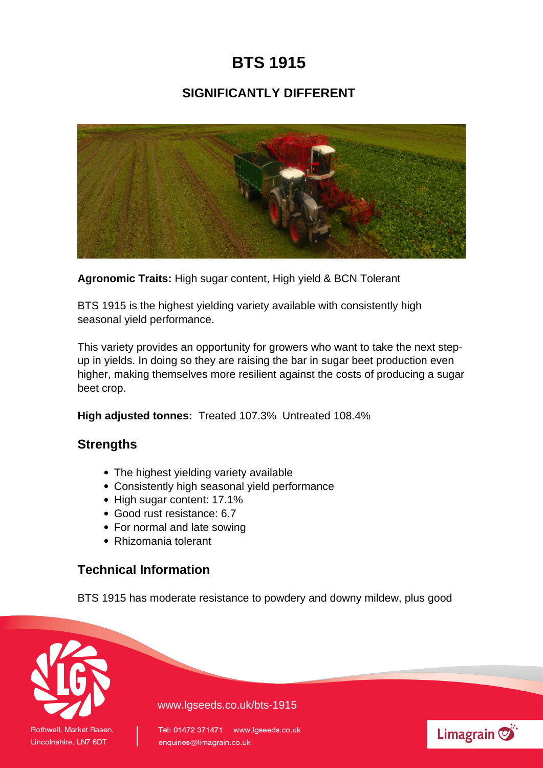# **BTS 1915**

## **SIGNIFICANTLY DIFFERENT**



**Agronomic Traits:** High sugar content, High yield & BCN Tolerant

BTS 1915 is the highest yielding variety available with consistently high seasonal yield performance.

This variety provides an opportunity for growers who want to take the next stepup in yields. In doing so they are raising the bar in sugar beet production even higher, making themselves more resilient against the costs of producing a sugar beet crop.

**High adjusted tonnes:** Treated 107.3% Untreated 108.4%

### **Strengths**

- The highest yielding variety available
- Consistently high seasonal yield performance
- High sugar content: 17.1%
- Good rust resistance: 6.7
- For normal and late sowing
- Rhizomania tolerant

### **Technical Information**

BTS 1915 has moderate resistance to powdery and downy mildew, plus good